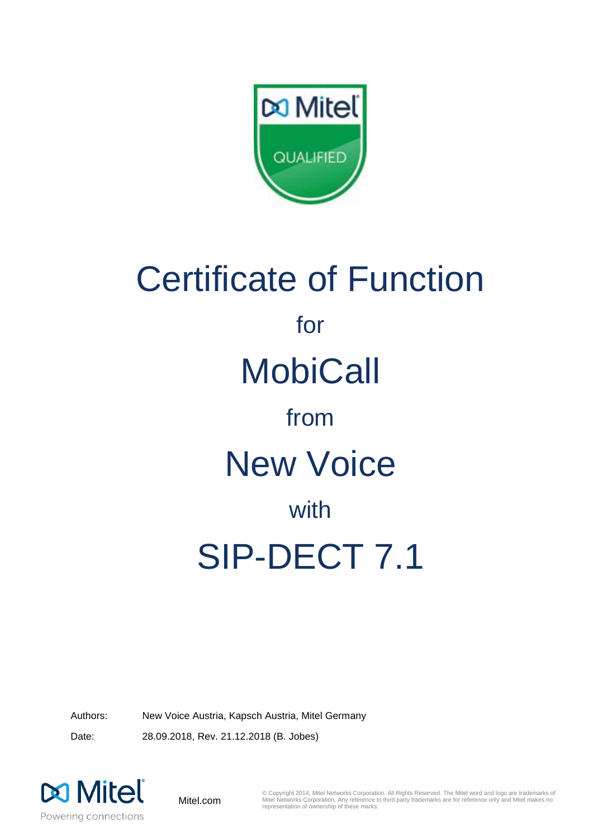

# Certificate of Function for **MobiCall** from New Voice with SIP-DECT 7.1

Authors: New Voice Austria, Kapsch Austria, Mitel Germany Date: 28.09.2018, Rev. 21.12.2018 (B. Jobes)



Mitel.com

© Copyright 2014, Mitel Networks Corporation. All Rights Reserved. The Mitel word and logo are trademarks of Mitel Networks Corporation. Any reference to third party trademarks are for reference only and Mitel makes no representation of ownership of these marks.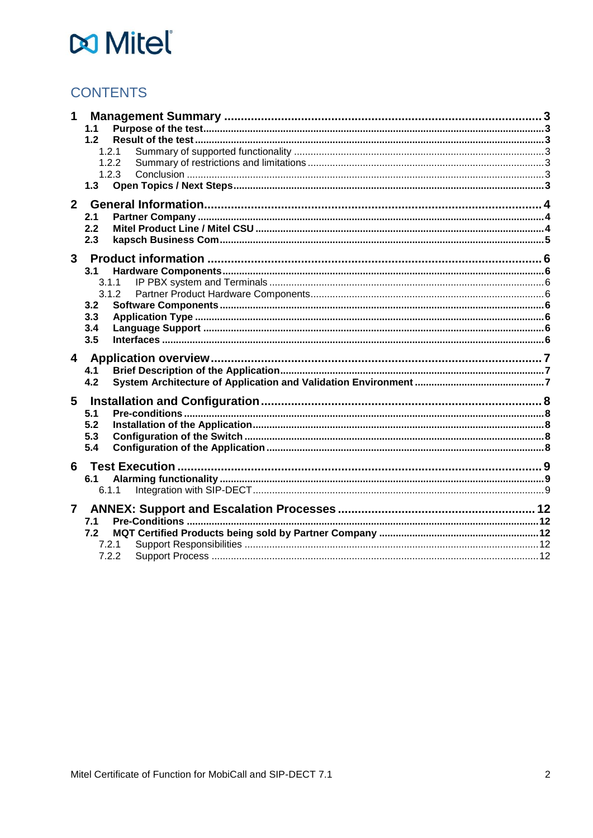# **CONTENTS**

| 1                       |       |  |
|-------------------------|-------|--|
|                         | 1.1   |  |
|                         | 1.2   |  |
|                         | 1.2.1 |  |
|                         | 1.2.2 |  |
|                         | 1.2.3 |  |
|                         | 1.3   |  |
|                         |       |  |
| $\overline{2}$          |       |  |
|                         | 2.1   |  |
|                         | 2.2   |  |
|                         | 2.3   |  |
| $\overline{3}$          |       |  |
|                         | 3.1   |  |
|                         | 3.1.1 |  |
|                         | 3.1.2 |  |
|                         | 3.2   |  |
|                         | 3.3   |  |
|                         | 3.4   |  |
|                         | 3.5   |  |
|                         |       |  |
| $\overline{\mathbf{4}}$ |       |  |
|                         | 4.1   |  |
|                         | 4.2   |  |
| 5                       |       |  |
|                         | 5.1   |  |
|                         | 5.2   |  |
|                         | 5.3   |  |
|                         | 5.4   |  |
|                         |       |  |
| 6                       |       |  |
|                         | 6.1   |  |
|                         | 6.1.1 |  |
| $\overline{7}$          |       |  |
|                         | 7.1   |  |
|                         | 7.2   |  |
|                         | 7.2.1 |  |
|                         | 7.2.2 |  |
|                         |       |  |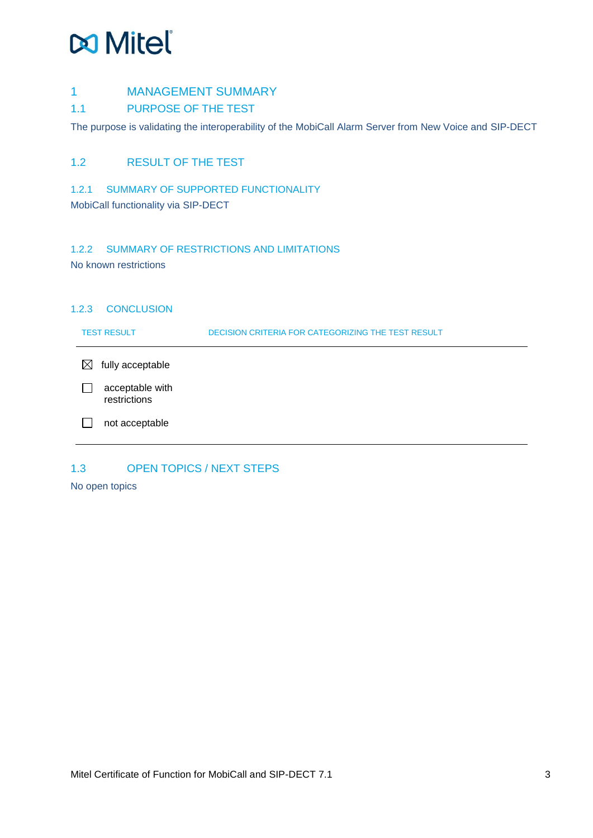#### <span id="page-2-0"></span>1 MANAGEMENT SUMMARY

#### <span id="page-2-1"></span>1.1 PURPOSE OF THE TEST

The purpose is validating the interoperability of the MobiCall Alarm Server from New Voice and SIP-DECT

### <span id="page-2-2"></span>1.2 RESULT OF THE TEST

#### <span id="page-2-3"></span>1.2.1 SUMMARY OF SUPPORTED FUNCTIONALITY

MobiCall functionality via SIP-DECT

### <span id="page-2-4"></span>1.2.2 SUMMARY OF RESTRICTIONS AND LIMITATIONS

No known restrictions

#### <span id="page-2-5"></span>1.2.3 CONCLUSION

| <b>TEST RESULT</b>              | DECISION CRITERIA FOR CATEGORIZING THE TEST RESULT |
|---------------------------------|----------------------------------------------------|
| $\bowtie$<br>fully acceptable   |                                                    |
| acceptable with<br>restrictions |                                                    |
| not acceptable                  |                                                    |

# <span id="page-2-6"></span>1.3 OPEN TOPICS / NEXT STEPS

No open topics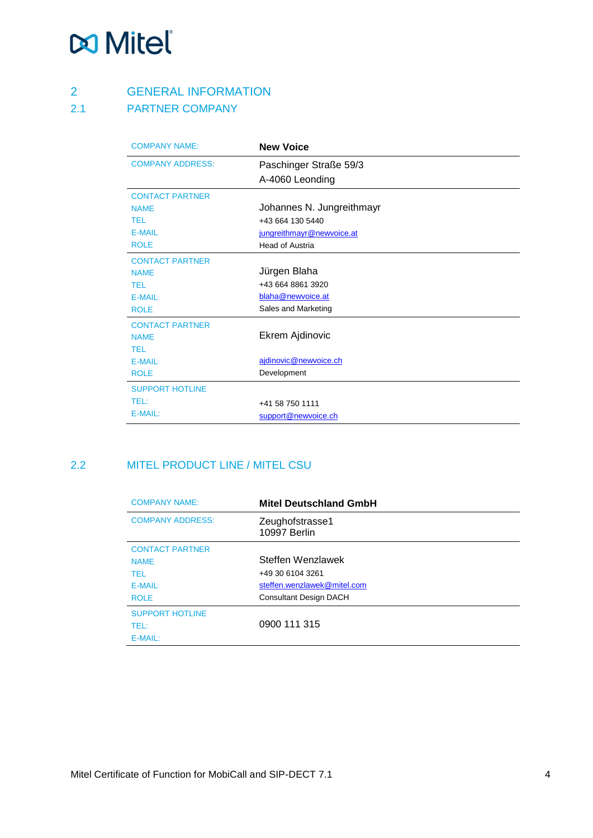# <span id="page-3-0"></span>2 GENERAL INFORMATION

# <span id="page-3-1"></span>2.1 PARTNER COMPANY

| <b>COMPANY NAME:</b>    | <b>New Voice</b>          |
|-------------------------|---------------------------|
| <b>COMPANY ADDRESS:</b> | Paschinger Straße 59/3    |
|                         | A-4060 Leonding           |
| <b>CONTACT PARTNER</b>  |                           |
| <b>NAMF</b>             | Johannes N. Jungreithmayr |
| <b>TFI</b>              | +43 664 130 5440          |
| <b>E-MAIL</b>           | jungreithmayr@newvoice.at |
| <b>ROLE</b>             | Head of Austria           |
| <b>CONTACT PARTNER</b>  |                           |
| <b>NAME</b>             | Jürgen Blaha              |
| <b>TEL</b>              | +43 664 8861 3920         |
| <b>E-MAIL</b>           | blaha@newvoice.at         |
| <b>ROLE</b>             | Sales and Marketing       |
| <b>CONTACT PARTNER</b>  |                           |
| <b>NAME</b>             | Ekrem Ajdinovic           |
| <b>TEL</b>              |                           |
| <b>E-MAIL</b>           | ajdinovic@newvoice.ch     |
| <b>ROLE</b>             | Development               |
| <b>SUPPORT HOTLINE</b>  |                           |
| TEL:                    | +41 58 750 1111           |
| E-MAIL:                 | support@newvoice.ch       |

# <span id="page-3-2"></span>2.2 MITEL PRODUCT LINE / MITEL CSU

| <b>COMPANY NAME:</b>    | <b>Mitel Deutschland GmbH</b>   |
|-------------------------|---------------------------------|
| <b>COMPANY ADDRESS:</b> | Zeughofstrasse1<br>10997 Berlin |
| <b>CONTACT PARTNER</b>  |                                 |
| <b>NAME</b>             | Steffen Wenzlawek               |
| <b>TEL</b>              | +49 30 6104 3261                |
| <b>E-MAIL</b>           | steffen.wenzlawek@mitel.com     |
| <b>ROLE</b>             | <b>Consultant Design DACH</b>   |
| <b>SUPPORT HOTLINE</b>  |                                 |
| TEL:                    | 0900 111 315                    |
| E-MAIL:                 |                                 |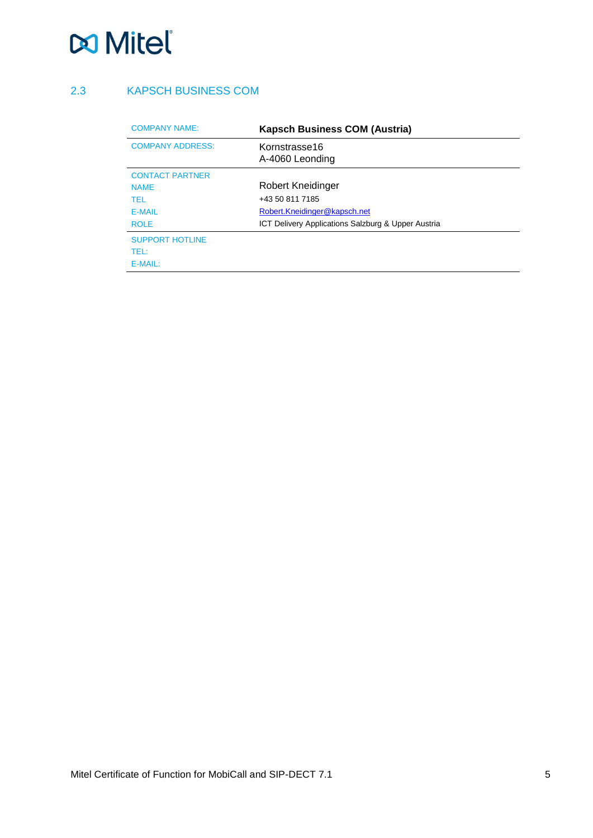### <span id="page-4-0"></span>2.3 KAPSCH BUSINESS COM

| <b>COMPANY NAME:</b>    | <b>Kapsch Business COM (Austria)</b>               |  |
|-------------------------|----------------------------------------------------|--|
| <b>COMPANY ADDRESS:</b> | Kornstrasse16<br>A-4060 Leonding                   |  |
| <b>CONTACT PARTNER</b>  |                                                    |  |
| <b>NAMF</b>             | Robert Kneidinger                                  |  |
| TFL                     | +43 50 811 7185                                    |  |
| <b>F-MAIL</b>           | Robert.Kneidinger@kapsch.net                       |  |
| <b>ROLE</b>             | ICT Delivery Applications Salzburg & Upper Austria |  |
| <b>SUPPORT HOTLINE</b>  |                                                    |  |
| TFL:                    |                                                    |  |
| $E-MAIL:$               |                                                    |  |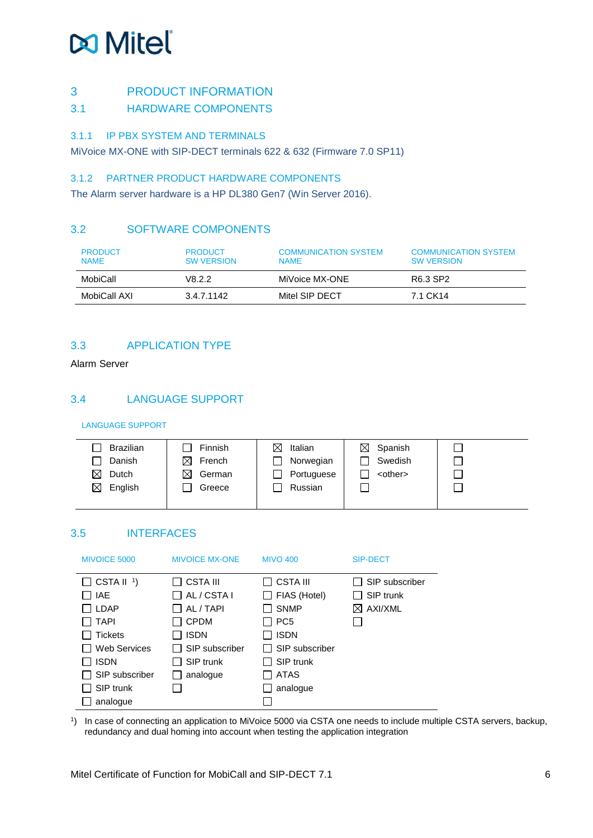### <span id="page-5-0"></span>3 PRODUCT INFORMATION

<span id="page-5-1"></span>3.1 HARDWARE COMPONENTS

#### <span id="page-5-2"></span>3.1.1 IP PBX SYSTEM AND TERMINALS

MiVoice MX-ONE with SIP-DECT terminals 622 & 632 (Firmware 7.0 SP11)

#### <span id="page-5-3"></span>3.1.2 PARTNER PRODUCT HARDWARE COMPONENTS

The Alarm server hardware is a HP DL380 Gen7 (Win Server 2016).

### <span id="page-5-4"></span>3.2 SOFTWARE COMPONENTS

| <b>PRODUCT</b><br><b>NAMF</b> | <b>PRODUCT</b><br><b>SW VERSION</b> | <b>COMMUNICATION SYSTEM</b><br><b>NAME</b> | <b>COMMUNICATION SYSTEM</b><br><b>SW VERSION</b> |
|-------------------------------|-------------------------------------|--------------------------------------------|--------------------------------------------------|
| MobiCall                      | V8 2 2                              | MiVoice MX-ONE                             | R6.3 SP2                                         |
| MobiCall AXI                  | 3.4.7.1142                          | Mitel SIP DECT                             | 7.1 CK14                                         |

# <span id="page-5-5"></span>3.3 APPLICATION TYPE

Alarm Server

### <span id="page-5-6"></span>3.4 LANGUAGE SUPPORT

LANGUAGE SUPPORT

| <b>Brazilian</b>       | Finnish     | ⊠<br>Italian | $\boxtimes$ Spanish |  |
|------------------------|-------------|--------------|---------------------|--|
| Danish                 | ⊠<br>French | Norwegian    | Swedish             |  |
| ⊠<br>Dutch             | ⊠<br>German | Portuguese   | <other></other>     |  |
| $\boxtimes$<br>English | Greece      | Russian      |                     |  |
|                        |             |              |                     |  |

# <span id="page-5-7"></span>3.5 INTERFACES

| <b>MIVOICE 5000</b>   | <b>MIVOICE MX-ONE</b> | <b>MIVO 400</b> | <b>SIP-DECT</b>     |
|-----------------------|-----------------------|-----------------|---------------------|
| $\Box$ CSTA II $^1$ ) | <b>CSTA III</b>       | CSTA III        | SIP subscriber      |
| <b>IAE</b>            | AL / CSTA I           | FIAS (Hotel)    | SIP trunk           |
| <b>LDAP</b>           | AL / TAPI             | <b>SNMP</b>     | $\boxtimes$ AXI/XML |
| <b>TAPI</b>           | <b>CPDM</b>           | PC <sub>5</sub> |                     |
| <b>Tickets</b>        | <b>ISDN</b>           | <b>ISDN</b>     |                     |
| <b>Web Services</b>   | SIP subscriber        | SIP subscriber  |                     |
| <b>ISDN</b>           | SIP trunk             | SIP trunk       |                     |
| SIP subscriber        | analogue              | <b>ATAS</b>     |                     |
| SIP trunk             |                       | analogue        |                     |
| analogue              |                       |                 |                     |

1 ) In case of connecting an application to MiVoice 5000 via CSTA one needs to include multiple CSTA servers, backup, redundancy and dual homing into account when testing the application integration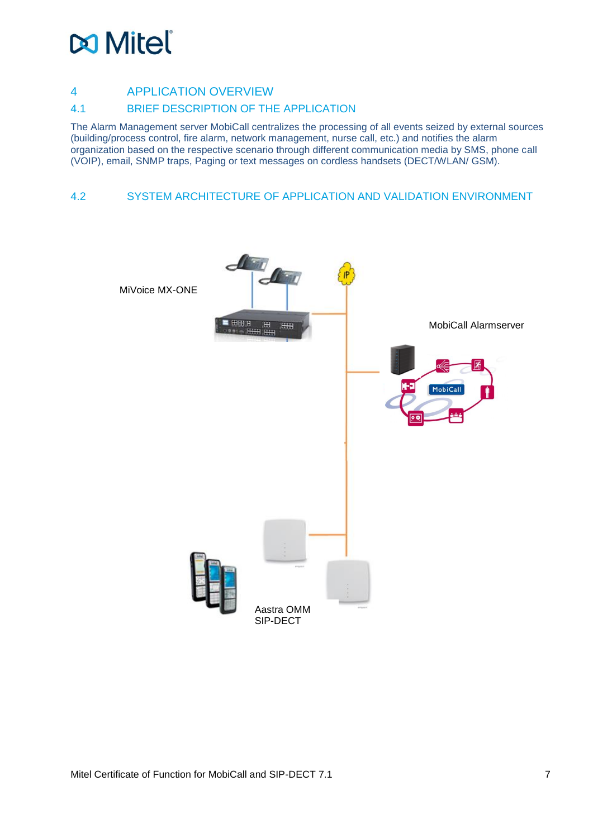# **DO** Mitel

### <span id="page-6-0"></span>4 APPLICATION OVERVIEW

#### <span id="page-6-1"></span>4.1 BRIEF DESCRIPTION OF THE APPLICATION

The Alarm Management server MobiCall centralizes the processing of all events seized by external sources (building/process control, fire alarm, network management, nurse call, etc.) and notifies the alarm organization based on the respective scenario through different communication media by SMS, phone call (VOIP), email, SNMP traps, Paging or text messages on cordless handsets (DECT/WLAN/ GSM).

#### <span id="page-6-2"></span>4.2 SYSTEM ARCHITECTURE OF APPLICATION AND VALIDATION ENVIRONMENT

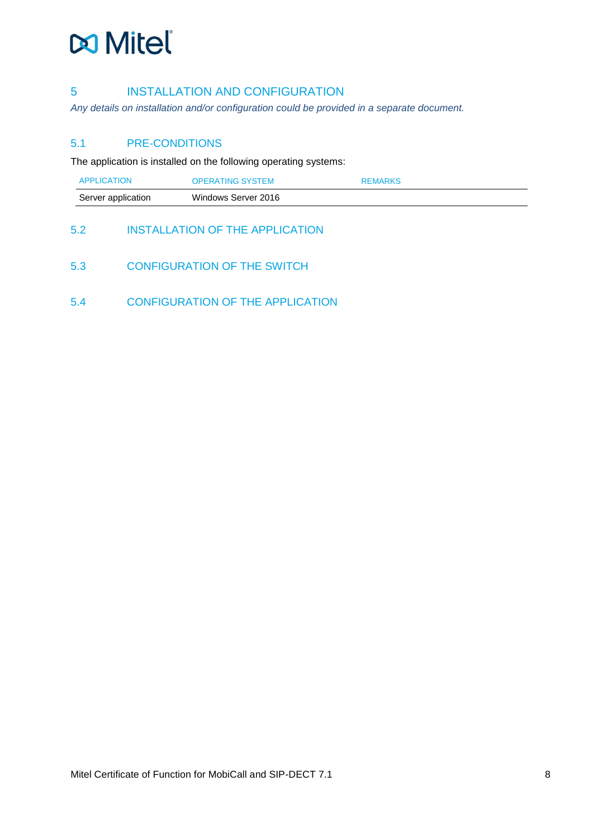### <span id="page-7-0"></span>5 INSTALLATION AND CONFIGURATION

*Any details on installation and/or configuration could be provided in a separate document.*

#### <span id="page-7-1"></span>5.1 PRE-CONDITIONS

The application is installed on the following operating systems:

| <b>APPLICATION</b> | <b>OPERATING SYSTEM</b> | <b>REMARKS</b> |
|--------------------|-------------------------|----------------|
| Server application | Windows Server 2016     |                |

### <span id="page-7-2"></span>5.2 INSTALLATION OF THE APPLICATION

- <span id="page-7-3"></span>5.3 CONFIGURATION OF THE SWITCH
- <span id="page-7-4"></span>5.4 CONFIGURATION OF THE APPLICATION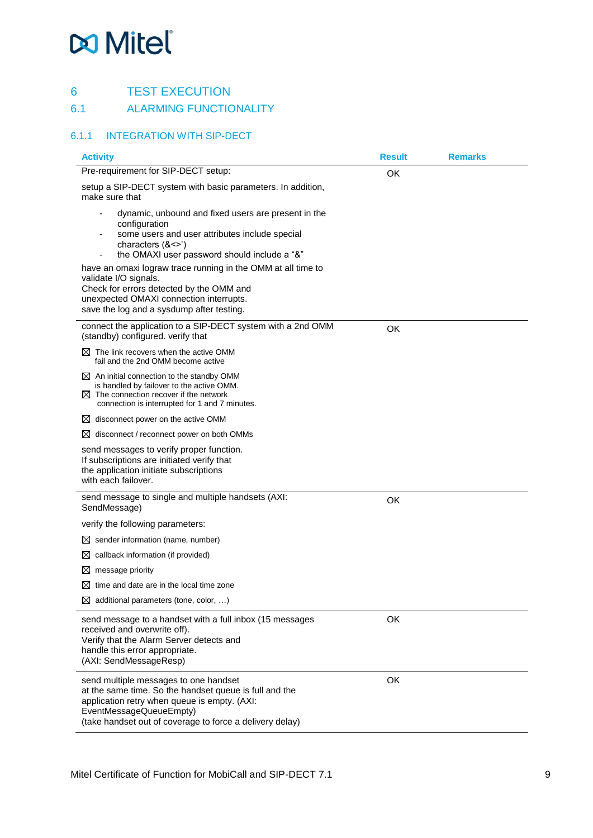# <span id="page-8-0"></span>6 TEST EXECUTION<br>6.1 ALARMING FUNCTIO

#### <span id="page-8-1"></span>**ALARMING FUNCTIONALITY**

### <span id="page-8-2"></span>6.1.1 INTEGRATION WITH SIP-DECT

| <b>Activity</b>                                                                                                                                                                                                                        | <b>Result</b> | <b>Remarks</b> |
|----------------------------------------------------------------------------------------------------------------------------------------------------------------------------------------------------------------------------------------|---------------|----------------|
| Pre-requirement for SIP-DECT setup:                                                                                                                                                                                                    | OK            |                |
| setup a SIP-DECT system with basic parameters. In addition,<br>make sure that                                                                                                                                                          |               |                |
| dynamic, unbound and fixed users are present in the<br>configuration<br>some users and user attributes include special<br>characters $(8 \leq x)$<br>the OMAXI user password should include a "&"                                      |               |                |
| have an omaxi lograw trace running in the OMM at all time to<br>validate I/O signals.<br>Check for errors detected by the OMM and<br>unexpected OMAXI connection interrupts.<br>save the log and a sysdump after testing.              |               |                |
| connect the application to a SIP-DECT system with a 2nd OMM<br>(standby) configured. verify that                                                                                                                                       | OK            |                |
| $\boxtimes$ The link recovers when the active OMM<br>fail and the 2nd OMM become active                                                                                                                                                |               |                |
| $\boxtimes$ An initial connection to the standby OMM<br>is handled by failover to the active OMM.<br>$\boxtimes$ The connection recover if the network<br>connection is interrupted for 1 and 7 minutes.                               |               |                |
| disconnect power on the active OMM<br>⊠                                                                                                                                                                                                |               |                |
| disconnect / reconnect power on both OMMs<br>M                                                                                                                                                                                         |               |                |
| send messages to verify proper function.<br>If subscriptions are initiated verify that<br>the application initiate subscriptions<br>with each failover.                                                                                |               |                |
| send message to single and multiple handsets (AXI:<br>SendMessage)                                                                                                                                                                     | OK            |                |
| verify the following parameters:                                                                                                                                                                                                       |               |                |
| $\boxtimes$ sender information (name, number)                                                                                                                                                                                          |               |                |
| callback information (if provided)<br>⊠                                                                                                                                                                                                |               |                |
| message priority<br>$\boxtimes$                                                                                                                                                                                                        |               |                |
| time and date are in the local time zone                                                                                                                                                                                               |               |                |
| $\boxtimes$ additional parameters (tone, color, )                                                                                                                                                                                      |               |                |
| send message to a handset with a full inbox (15 messages<br>received and overwrite off).<br>Verify that the Alarm Server detects and<br>handle this error appropriate.<br>(AXI: SendMessageResp)                                       | OK            |                |
| send multiple messages to one handset<br>at the same time. So the handset queue is full and the<br>application retry when queue is empty. (AXI:<br>EventMessageQueueEmpty)<br>(take handset out of coverage to force a delivery delay) | OK            |                |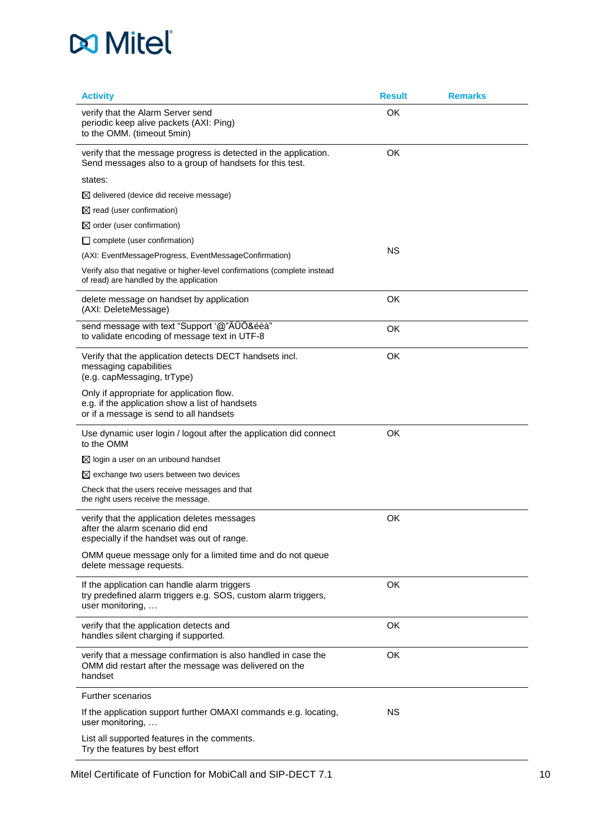| <b>Activity</b>                                                                                                                         | <b>Result</b> | <b>Remarks</b> |
|-----------------------------------------------------------------------------------------------------------------------------------------|---------------|----------------|
| verify that the Alarm Server send<br>periodic keep alive packets (AXI: Ping)<br>to the OMM. (timeout 5min)                              | OK            |                |
| verify that the message progress is detected in the application.<br>Send messages also to a group of handsets for this test.            | OK            |                |
| states:                                                                                                                                 |               |                |
| $\boxtimes$ delivered (device did receive message)                                                                                      |               |                |
| $\boxtimes$ read (user confirmation)                                                                                                    |               |                |
| $\boxtimes$ order (user confirmation)                                                                                                   |               |                |
| $\Box$ complete (user confirmation)                                                                                                     |               |                |
| (AXI: EventMessageProgress, EventMessageConfirmation)                                                                                   | <b>NS</b>     |                |
| Verify also that negative or higher-level confirmations (complete instead<br>of read) are handled by the application                    |               |                |
| delete message on handset by application<br>(AXI: DeleteMessage)                                                                        | OK            |                |
| send message with text "Support '@"ÄÜÖ&éèà"<br>to validate encoding of message text in UTF-8                                            | OK            |                |
| Verify that the application detects DECT handsets incl.<br>messaging capabilities<br>(e.g. capMessaging, trType)                        | OK            |                |
| Only if appropriate for application flow.<br>e.g. if the application show a list of handsets<br>or if a message is send to all handsets |               |                |
| Use dynamic user login / logout after the application did connect<br>to the OMM                                                         | OK            |                |
| $\boxtimes$ login a user on an unbound handset                                                                                          |               |                |
| $\boxtimes$ exchange two users between two devices                                                                                      |               |                |
| Check that the users receive messages and that<br>the right users receive the message.                                                  |               |                |
| verify that the application deletes messages<br>after the alarm scenario did end<br>especially if the handset was out of range.         | OK            |                |
| OMM queue message only for a limited time and do not queue<br>delete message requests.                                                  |               |                |
| If the application can handle alarm triggers<br>try predefined alarm triggers e.g. SOS, custom alarm triggers,<br>user monitoring,      | OK            |                |
| verify that the application detects and<br>handles silent charging if supported.                                                        | OK            |                |
| verify that a message confirmation is also handled in case the<br>OMM did restart after the message was delivered on the<br>handset     | OK            |                |
| <b>Further scenarios</b>                                                                                                                |               |                |
| If the application support further OMAXI commands e.g. locating,<br>user monitoring,                                                    | <b>NS</b>     |                |
| List all supported features in the comments.<br>Try the features by best effort                                                         |               |                |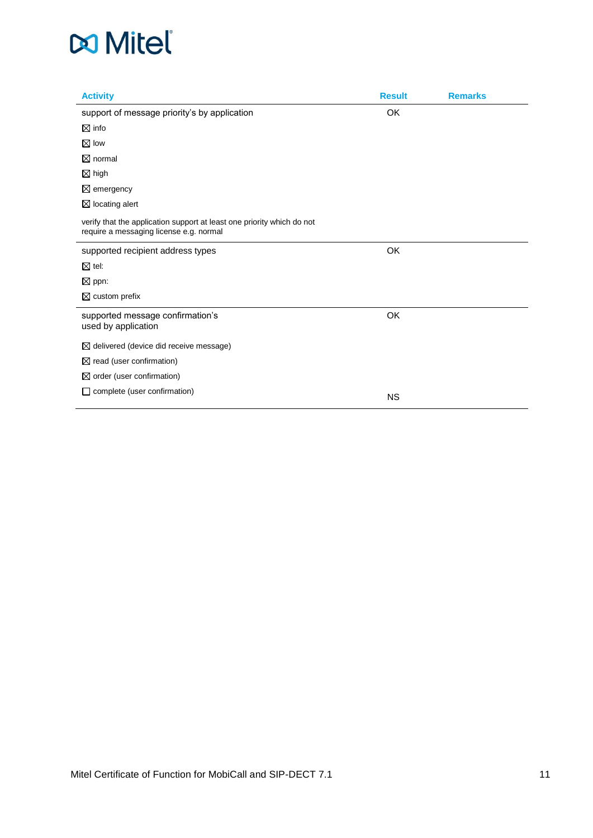| <b>Activity</b>                                                                                                   | <b>Result</b> | <b>Remarks</b> |
|-------------------------------------------------------------------------------------------------------------------|---------------|----------------|
| support of message priority's by application                                                                      | <b>OK</b>     |                |
| $\boxtimes$ info                                                                                                  |               |                |
| $\boxtimes$ low                                                                                                   |               |                |
| $\boxtimes$ normal                                                                                                |               |                |
| $\boxtimes$ high                                                                                                  |               |                |
| $\boxtimes$ emergency                                                                                             |               |                |
| $\boxtimes$ locating alert                                                                                        |               |                |
| verify that the application support at least one priority which do not<br>require a messaging license e.g. normal |               |                |
| supported recipient address types                                                                                 | OK            |                |
| $\boxtimes$ tel:                                                                                                  |               |                |
| $\boxtimes$ ppn:                                                                                                  |               |                |
| $\boxtimes$ custom prefix                                                                                         |               |                |
| supported message confirmation's<br>used by application                                                           | OK            |                |
| $\boxtimes$ delivered (device did receive message)                                                                |               |                |
| $\boxtimes$ read (user confirmation)                                                                              |               |                |
| $\boxtimes$ order (user confirmation)                                                                             |               |                |
| complete (user confirmation)<br>ப                                                                                 | <b>NS</b>     |                |